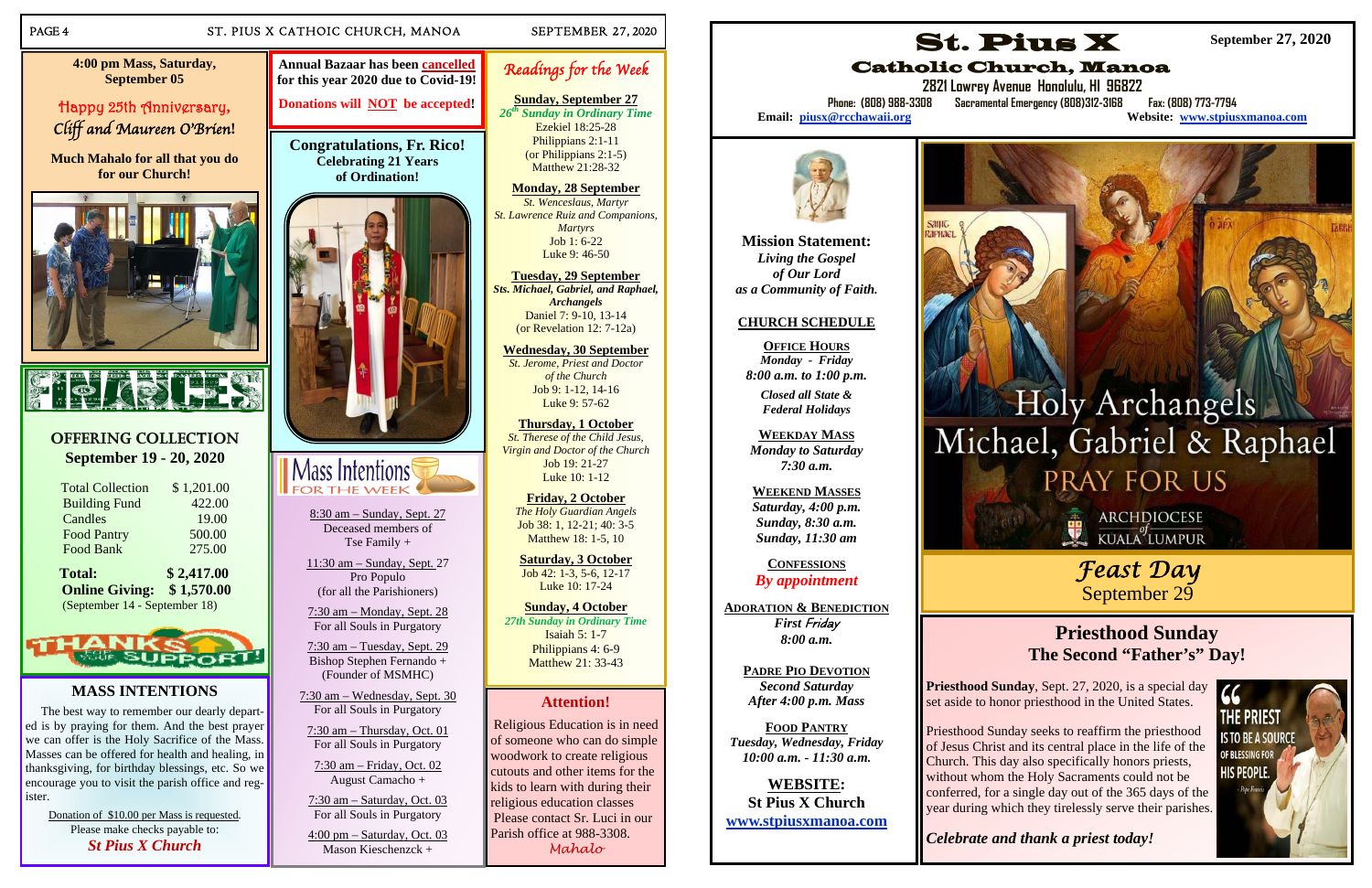### PAGE 4 ST. PIUS X CATHOIC CHURCH, MANOA SEPTEMBER 27, 2020

### **OFFERING COLLECTION September 19 - 20, 2020**

| <b>Total:</b>           | \$2,417.00 |
|-------------------------|------------|
| Food Bank               | 275.00     |
| <b>Food Pantry</b>      | 500.00     |
| Candles                 | 19.00      |
| <b>Building Fund</b>    | 422.00     |
| <b>Total Collection</b> | \$1,201.00 |

**Online Giving: \$ 1,570.00**  (September 14 - September 18)



### **MASS INTENTIONS**

The best way to remember our dearly departed is by praying for them. And the best prayer we can offer is the Holy Sacrifice of the Mass. Masses can be offered for health and healing, in thanksgiving, for birthday blessings, etc. So we encourage you to visit the parish office and register.

*26th Sunday in Ordinary Time*  Ezekiel 18:25-28Philippians 2:1-11

Donation of \$10.00 per Mass is requested. Please make checks payable to: *St Pius X Church*

8:30 am – Sunday, Sept. 27 Deceased members of Tse Family +

11:30 am – Sunday, Sept. 27 Pro Populo (for all the Parishioners)

7:30 am – Monday, Sept. 28 For all Souls in Purgatory

7:30 am – Tuesday, Sept. 29 Bishop Stephen Fernando + (Founder of MSMHC)

**Friday, 2 October**  *The Holy Guardian Angels*  Job 38: 1, 12-21; 40: 3-5 Matthew 18: 1-5, 10

7:30 am – Wednesday, Sept. 30 For all Souls in Purgatory

7:30 am – Thursday, Oct. 01 For all Souls in Purgatory

7:30 am – Friday, Oct. 02 August Camacho +

7:30 am – Saturday, Oct. 03 For all Souls in Purgatory

4:00 pm – Saturday, Oct. 03 Mason Kieschenzck +

# Readings for the Week

# **Sunday, September 27**

(or Philippians 2:1-5) Matthew 21:28-32

### **Monday, 28 September**

*St. Wenceslaus, Martyr St. Lawrence Ruiz and Companions, Martyrs*  Job 1: 6-22 Luke 9: 46-50

**Tuesday, 29 September**  *Sts. Michael, Gabriel, and Raphael, Archangels*  Daniel 7: 9-10, 13-14 (or Revelation 12: 7-12a)

**Phone: (808) 988-3308 Sacramental Emergency (808)312-3168 Fax: (808) 773-7794 Website: www.stpiusxmanoa.com** 

# Holy Archangels Michael, Gabriel & Raphael **PRAY FOR US**

ARCHDIOCESE<br>KUALA LUMPUR

**Wednesday, 30 September**  *St. Jerome, Priest and Doctor of the Church*  Job 9: 1-12, 14-16 Luke 9: 57-62

**Thursday, 1 October**  *St. Therese of the Child Jesus, Virgin and Doctor of the Church*  Job 19: 21-27 Luke 10: 1-12

> Priesthood Sunday, Sept. 27, 2020, is a special day<br>set aside to honor priesthood in the United States set aside to honor priesthood in the United States.

**Saturday, 3 October**  Job 42: 1-3, 5-6, 12-17 Luke 10: 17-24

**Sunday, 4 October**  *27th Sunday in Ordinary Time*  Isaiah 5: 1-7 Philippians 4: 6-9 Matthew 21: 33-43

**Congratulations, Fr. Rico! Celebrating 21 Years of Ordination!** 





**4:00 pm Mass, Saturday, September 05** 

Happy 25th Anniversary**,**  Cliff and Maureen O'Brien**!** 

**Much Mahalo for all that you do for our Church!** 



### **Attention!**

 Religious Education is in need of someone who can do simple woodwork to create religious cutouts and other items for the kids to learn with during their religious education classes Please contact Sr. Luci in our Parish office at 988-3308. *Mahalo* 

**Annual Bazaar has been cancelledfor this year 2020 due to Covid-19!** 

**Donations will NOT be accepted!** 

**Mission Statement:**  *Living the Gospel of Our Lord as a Community of Faith.* 

### **CHURCH SCHEDULE**

**OFFICE HOURS***Monday - Friday 8:00 a.m. to 1:00 p.m.* 

*Closed all State & Federal Holidays* 

**WEEKDAY MASS**  *Monday to Saturday 7:30 a.m.* 

**WEEKEND MASSES** *Saturday, 4:00 p.m. Sunday, 8:30 a.m. Sunday, 11:30 am* 

**CONFESSIONS** *By appointment* 

**ADORATION & BENEDICTION** *First* Friday *8:00 a.m.* 

**PADRE PIO DEVOTION***Second Saturday After 4:00 p.m. Mass* 

**FOOD PANTRY** *Tuesday, Wednesday, Friday 10:00 a.m. - 11:30 a.m.* 

**WEBSITE: St Pius X Church www.stpiusxmanoa.com** 

# St. Pius X Catholic Church, Manoa

**2821 Lowrey Avenue Honolulu, HI 96822** 

Email: piusx@rcchawaii.org



**September 27, 2020** 

# *Feast Day*  September 29

# **Priesthood Sunday The Second "Father's" Day!**



Priesthood Sunday seeks to reaffirm the priesthood of Jesus Christ and its central place in the life of the Church. This day also specifically honors priests, without whom the Holy Sacraments could not be conferred, for a single day out of the 365 days of the year during which they tirelessly serve their parishes.

*Celebrate and thank a priest today!*